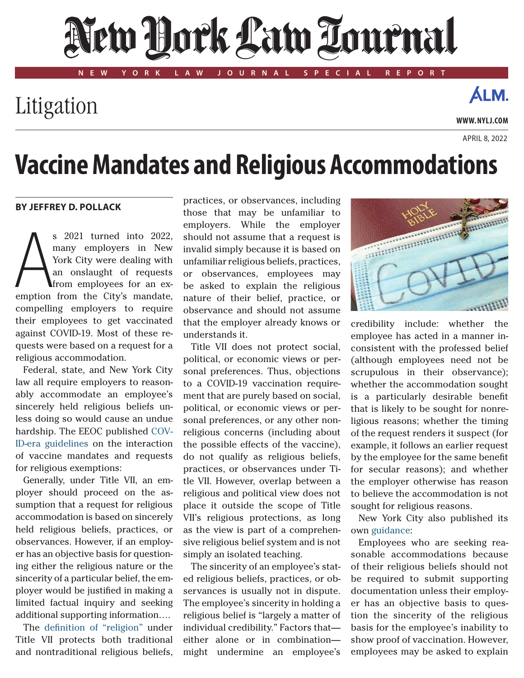# New Dock Law Tournal

**NEW YORK LAW JOURNAL SPECIAL REPORT**

### Litigation

**www. NYLJ.com**

**ÁLM.** 

April 8, 2022

## **Vaccine Mandates and Religious Accommodations**

#### **By Jeffrey D. Pollack**

S 2021 turned into 2022,<br>
York City were dealing with<br>
an onslaught of requests<br>
from employees for an ex-<br>
emption from the City's mandate, s 2021 turned into 2022, many employers in New York City were dealing with an onslaught of requests from employees for an excompelling employers to require their employees to get vaccinated against COVID-19. Most of these requests were based on a request for a religious accommodation.

Federal, state, and New York City law all require employers to reasonably accommodate an employee's sincerely held religious beliefs unless doing so would cause an undue hardship. The EEOC published COV-ID-era guidelines on the interaction of vaccine mandates and requests for religious exemptions:

Generally, under Title VII, an employer should proceed on the assumption that a request for religious accommodation is based on sincerely held religious beliefs, practices, or observances. However, if an employer has an objective basis for questioning either the religious nature or the sincerity of a particular belief, the employer would be justified in making a limited factual inquiry and seeking additional supporting information….

The definition of "religion" under Title VII protects both traditional and nontraditional religious beliefs,

practices, or observances, including those that may be unfamiliar to employers. While the employer should not assume that a request is invalid simply because it is based on unfamiliar religious beliefs, practices, or observances, employees may be asked to explain the religious nature of their belief, practice, or observance and should not assume that the employer already knows or understands it.

Title VII does not protect social, political, or economic views or personal preferences. Thus, objections to a COVID-19 vaccination requirement that are purely based on social, political, or economic views or personal preferences, or any other nonreligious concerns (including about the possible effects of the vaccine), do not qualify as religious beliefs, practices, or observances under Title VII. However, overlap between a religious and political view does not place it outside the scope of Title VII's religious protections, as long as the view is part of a comprehensive religious belief system and is not simply an isolated teaching.

The sincerity of an employee's stated religious beliefs, practices, or observances is usually not in dispute. The employee's sincerity in holding a religious belief is "largely a matter of individual credibility." Factors that either alone or in combination might undermine an employee's



credibility include: whether the employee has acted in a manner inconsistent with the professed belief (although employees need not be scrupulous in their observance); whether the accommodation sought is a particularly desirable benefit that is likely to be sought for nonreligious reasons; whether the timing of the request renders it suspect (for example, it follows an earlier request by the employee for the same benefit for secular reasons); and whether the employer otherwise has reason to believe the accommodation is not sought for religious reasons.

New York City also published its own [guidance](https://www1.nyc.gov/assets/cchr/downloads/pdf/publications/Vax-Employment-Guidance.pdf):

Employees who are seeking reasonable accommodations because of their religious beliefs should not be required to submit supporting documentation unless their employer has an objective basis to question the sincerity of the religious basis for the employee's inability to show proof of vaccination. However, employees may be asked to explain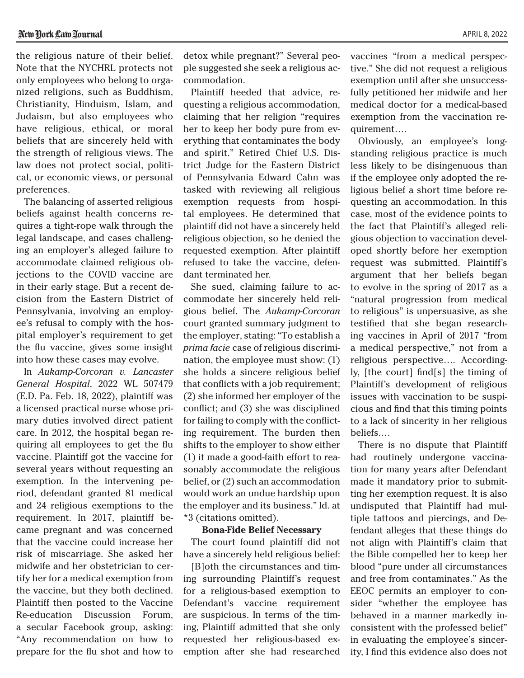the religious nature of their belief. Note that the NYCHRL protects not only employees who belong to organized religions, such as Buddhism, Christianity, Hinduism, Islam, and Judaism, but also employees who have religious, ethical, or moral beliefs that are sincerely held with the strength of religious views. The law does not protect social, political, or economic views, or personal preferences.

The balancing of asserted religious beliefs against health concerns requires a tight-rope walk through the legal landscape, and cases challenging an employer's alleged failure to accommodate claimed religious objections to the COVID vaccine are in their early stage. But a recent decision from the Eastern District of Pennsylvania, involving an employee's refusal to comply with the hospital employer's requirement to get the flu vaccine, gives some insight into how these cases may evolve.

In *Aukamp-Corcoran v. Lancaster General Hospital*, 2022 WL 507479 (E.D. Pa. Feb. 18, 2022), plaintiff was a licensed practical nurse whose primary duties involved direct patient care. In 2012, the hospital began requiring all employees to get the flu vaccine. Plaintiff got the vaccine for several years without requesting an exemption. In the intervening period, defendant granted 81 medical and 24 religious exemptions to the requirement. In 2017, plaintiff became pregnant and was concerned that the vaccine could increase her risk of miscarriage. She asked her midwife and her obstetrician to certify her for a medical exemption from the vaccine, but they both declined. Plaintiff then posted to the Vaccine Re-education Discussion Forum, a secular Facebook group, asking: "Any recommendation on how to prepare for the flu shot and how to

detox while pregnant?" Several people suggested she seek a religious accommodation.

Plaintiff heeded that advice, requesting a religious accommodation, claiming that her religion "requires her to keep her body pure from everything that contaminates the body and spirit." Retired Chief U.S. District Judge for the Eastern District of Pennsylvania Edward Cahn was tasked with reviewing all religious exemption requests from hospital employees. He determined that plaintiff did not have a sincerely held religious objection, so he denied the requested exemption. After plaintiff refused to take the vaccine, defendant terminated her.

She sued, claiming failure to accommodate her sincerely held religious belief. The *Aukamp-Corcoran* court granted summary judgment to the employer, stating: "To establish a *prima facie* case of religious discrimination, the employee must show: (1) she holds a sincere religious belief that conflicts with a job requirement; (2) she informed her employer of the conflict; and (3) she was disciplined for failing to comply with the conflicting requirement. The burden then shifts to the employer to show either (1) it made a good-faith effort to reasonably accommodate the religious belief, or (2) such an accommodation would work an undue hardship upon the employer and its business." Id. at \*3 (citations omitted).

#### **Bona-Fide Belief Necessary**

The court found plaintiff did not have a sincerely held religious belief:

[B]oth the circumstances and timing surrounding Plaintiff's request for a religious-based exemption to Defendant's vaccine requirement are suspicious. In terms of the timing, Plaintiff admitted that she only requested her religious-based exemption after she had researched

vaccines "from a medical perspective." She did not request a religious exemption until after she unsuccessfully petitioned her midwife and her medical doctor for a medical-based exemption from the vaccination requirement….

Obviously, an employee's longstanding religious practice is much less likely to be disingenuous than if the employee only adopted the religious belief a short time before requesting an accommodation. In this case, most of the evidence points to the fact that Plaintiff's alleged religious objection to vaccination developed shortly before her exemption request was submitted. Plaintiff's argument that her beliefs began to evolve in the spring of 2017 as a "natural progression from medical to religious" is unpersuasive, as she testified that she began researching vaccines in April of 2017 "from a medical perspective," not from a religious perspective…. Accordingly, [the court] find[s] the timing of Plaintiff's development of religious issues with vaccination to be suspicious and find that this timing points to a lack of sincerity in her religious beliefs.…

There is no dispute that Plaintiff had routinely undergone vaccination for many years after Defendant made it mandatory prior to submitting her exemption request. It is also undisputed that Plaintiff had multiple tattoos and piercings, and Defendant alleges that these things do not align with Plaintiff's claim that the Bible compelled her to keep her blood "pure under all circumstances and free from contaminates." As the EEOC permits an employer to consider "whether the employee has behaved in a manner markedly inconsistent with the professed belief" in evaluating the employee's sincerity, I find this evidence also does not